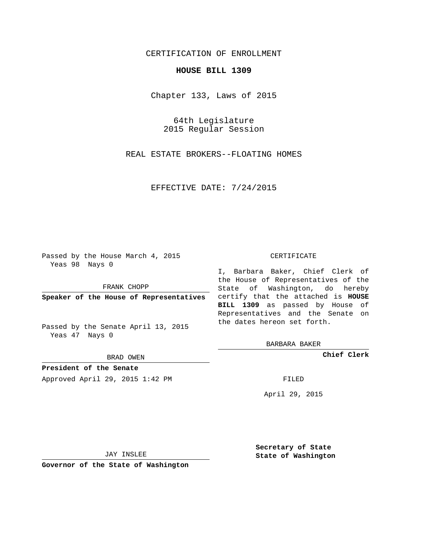## CERTIFICATION OF ENROLLMENT

## **HOUSE BILL 1309**

Chapter 133, Laws of 2015

64th Legislature 2015 Regular Session

REAL ESTATE BROKERS--FLOATING HOMES

EFFECTIVE DATE: 7/24/2015

Passed by the House March 4, 2015 Yeas 98 Nays 0

FRANK CHOPP

Passed by the Senate April 13, 2015 Yeas 47 Nays 0

BRAD OWEN

**President of the Senate**

Approved April 29, 2015 1:42 PM FILED

## CERTIFICATE

**Speaker of the House of Representatives** certify that the attached is **HOUSE** I, Barbara Baker, Chief Clerk of the House of Representatives of the State of Washington, do hereby **BILL 1309** as passed by House of Representatives and the Senate on the dates hereon set forth.

BARBARA BAKER

**Chief Clerk**

April 29, 2015

JAY INSLEE

**Governor of the State of Washington**

**Secretary of State State of Washington**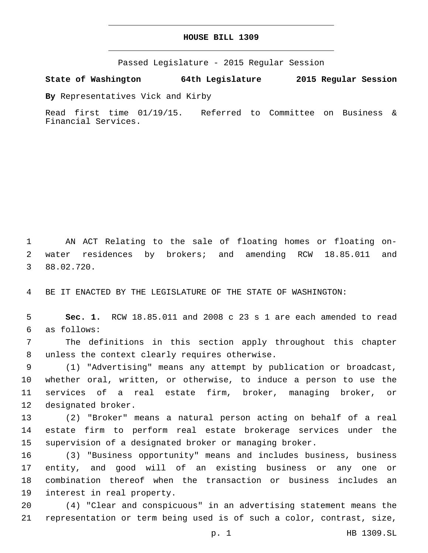## **HOUSE BILL 1309**

Passed Legislature - 2015 Regular Session

**State of Washington 64th Legislature 2015 Regular Session**

**By** Representatives Vick and Kirby

Read first time 01/19/15. Referred to Committee on Business & Financial Services.

1 AN ACT Relating to the sale of floating homes or floating on-2 water residences by brokers; and amending RCW 18.85.011 and 88.02.720.3

4 BE IT ENACTED BY THE LEGISLATURE OF THE STATE OF WASHINGTON:

5 **Sec. 1.** RCW 18.85.011 and 2008 c 23 s 1 are each amended to read as follows:6

7 The definitions in this section apply throughout this chapter 8 unless the context clearly requires otherwise.

 (1) "Advertising" means any attempt by publication or broadcast, whether oral, written, or otherwise, to induce a person to use the services of a real estate firm, broker, managing broker, or 12 designated broker.

13 (2) "Broker" means a natural person acting on behalf of a real 14 estate firm to perform real estate brokerage services under the 15 supervision of a designated broker or managing broker.

 (3) "Business opportunity" means and includes business, business entity, and good will of an existing business or any one or combination thereof when the transaction or business includes an 19 interest in real property.

20 (4) "Clear and conspicuous" in an advertising statement means the 21 representation or term being used is of such a color, contrast, size,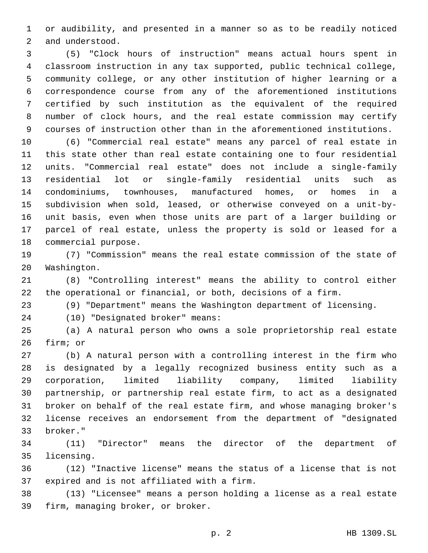or audibility, and presented in a manner so as to be readily noticed 2 and understood.

 (5) "Clock hours of instruction" means actual hours spent in classroom instruction in any tax supported, public technical college, community college, or any other institution of higher learning or a correspondence course from any of the aforementioned institutions certified by such institution as the equivalent of the required number of clock hours, and the real estate commission may certify courses of instruction other than in the aforementioned institutions.

 (6) "Commercial real estate" means any parcel of real estate in this state other than real estate containing one to four residential units. "Commercial real estate" does not include a single-family residential lot or single-family residential units such as condominiums, townhouses, manufactured homes, or homes in a subdivision when sold, leased, or otherwise conveyed on a unit-by- unit basis, even when those units are part of a larger building or parcel of real estate, unless the property is sold or leased for a 18 commercial purpose.

 (7) "Commission" means the real estate commission of the state of 20 Washington.

 (8) "Controlling interest" means the ability to control either the operational or financial, or both, decisions of a firm.

(9) "Department" means the Washington department of licensing.

(10) "Designated broker" means:24

 (a) A natural person who owns a sole proprietorship real estate 26 firm; or

 (b) A natural person with a controlling interest in the firm who is designated by a legally recognized business entity such as a corporation, limited liability company, limited liability partnership, or partnership real estate firm, to act as a designated broker on behalf of the real estate firm, and whose managing broker's license receives an endorsement from the department of "designated broker."33

 (11) "Director" means the director of the department of 35 licensing.

 (12) "Inactive license" means the status of a license that is not 37 expired and is not affiliated with a firm.

 (13) "Licensee" means a person holding a license as a real estate 39 firm, managing broker, or broker.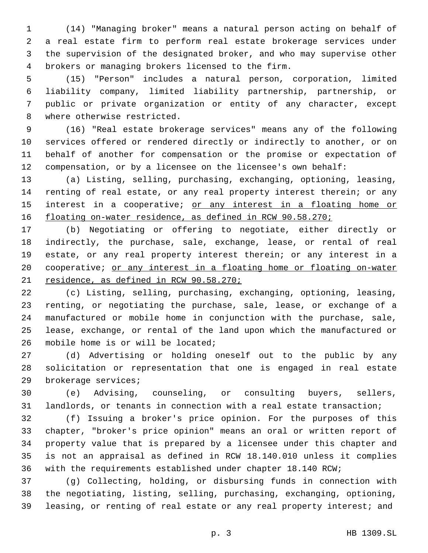(14) "Managing broker" means a natural person acting on behalf of a real estate firm to perform real estate brokerage services under the supervision of the designated broker, and who may supervise other brokers or managing brokers licensed to the firm.4

 (15) "Person" includes a natural person, corporation, limited liability company, limited liability partnership, partnership, or public or private organization or entity of any character, except 8 where otherwise restricted.

 (16) "Real estate brokerage services" means any of the following services offered or rendered directly or indirectly to another, or on behalf of another for compensation or the promise or expectation of compensation, or by a licensee on the licensee's own behalf:

 (a) Listing, selling, purchasing, exchanging, optioning, leasing, renting of real estate, or any real property interest therein; or any 15 interest in a cooperative; or any interest in a floating home or 16 floating on-water residence, as defined in RCW 90.58.270;

 (b) Negotiating or offering to negotiate, either directly or indirectly, the purchase, sale, exchange, lease, or rental of real estate, or any real property interest therein; or any interest in a cooperative; or any interest in a floating home or floating on-water 21 residence, as defined in RCW 90.58.270;

 (c) Listing, selling, purchasing, exchanging, optioning, leasing, renting, or negotiating the purchase, sale, lease, or exchange of a manufactured or mobile home in conjunction with the purchase, sale, lease, exchange, or rental of the land upon which the manufactured or 26 mobile home is or will be located;

 (d) Advertising or holding oneself out to the public by any solicitation or representation that one is engaged in real estate 29 brokerage services;

 (e) Advising, counseling, or consulting buyers, sellers, landlords, or tenants in connection with a real estate transaction;

 (f) Issuing a broker's price opinion. For the purposes of this chapter, "broker's price opinion" means an oral or written report of property value that is prepared by a licensee under this chapter and is not an appraisal as defined in RCW 18.140.010 unless it complies with the requirements established under chapter 18.140 RCW;

 (g) Collecting, holding, or disbursing funds in connection with the negotiating, listing, selling, purchasing, exchanging, optioning, leasing, or renting of real estate or any real property interest; and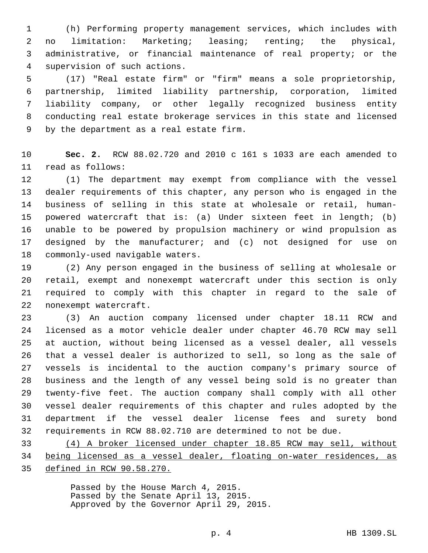(h) Performing property management services, which includes with no limitation: Marketing; leasing; renting; the physical, administrative, or financial maintenance of real property; or the 4 supervision of such actions.

 (17) "Real estate firm" or "firm" means a sole proprietorship, partnership, limited liability partnership, corporation, limited liability company, or other legally recognized business entity conducting real estate brokerage services in this state and licensed 9 by the department as a real estate firm.

 **Sec. 2.** RCW 88.02.720 and 2010 c 161 s 1033 are each amended to 11 read as follows:

 (1) The department may exempt from compliance with the vessel dealer requirements of this chapter, any person who is engaged in the business of selling in this state at wholesale or retail, human- powered watercraft that is: (a) Under sixteen feet in length; (b) unable to be powered by propulsion machinery or wind propulsion as designed by the manufacturer; and (c) not designed for use on 18 commonly-used navigable waters.

 (2) Any person engaged in the business of selling at wholesale or retail, exempt and nonexempt watercraft under this section is only required to comply with this chapter in regard to the sale of 22 nonexempt watercraft.

 (3) An auction company licensed under chapter 18.11 RCW and licensed as a motor vehicle dealer under chapter 46.70 RCW may sell at auction, without being licensed as a vessel dealer, all vessels that a vessel dealer is authorized to sell, so long as the sale of vessels is incidental to the auction company's primary source of business and the length of any vessel being sold is no greater than twenty-five feet. The auction company shall comply with all other vessel dealer requirements of this chapter and rules adopted by the department if the vessel dealer license fees and surety bond requirements in RCW 88.02.710 are determined to not be due.

 (4) A broker licensed under chapter 18.85 RCW may sell, without being licensed as a vessel dealer, floating on-water residences, as defined in RCW 90.58.270.

> Passed by the House March 4, 2015. Passed by the Senate April 13, 2015. Approved by the Governor April 29, 2015.